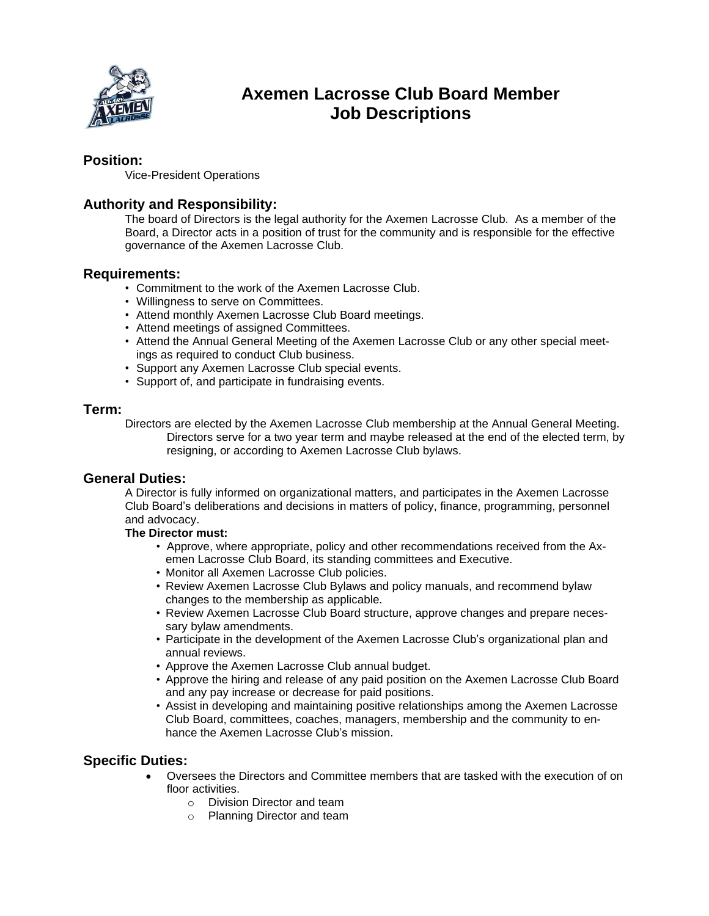

# **Axemen Lacrosse Club Board Member Job Descriptions**

## **Position:**

Vice-President Operations

## **Authority and Responsibility:**

The board of Directors is the legal authority for the Axemen Lacrosse Club. As a member of the Board, a Director acts in a position of trust for the community and is responsible for the effective governance of the Axemen Lacrosse Club.

### **Requirements:**

- Commitment to the work of the Axemen Lacrosse Club.
- Willingness to serve on Committees.
- Attend monthly Axemen Lacrosse Club Board meetings.
- Attend meetings of assigned Committees.
- Attend the Annual General Meeting of the Axemen Lacrosse Club or any other special meetings as required to conduct Club business.
- Support any Axemen Lacrosse Club special events.
- Support of, and participate in fundraising events.

#### **Term:**

Directors are elected by the Axemen Lacrosse Club membership at the Annual General Meeting. Directors serve for a two year term and maybe released at the end of the elected term, by resigning, or according to Axemen Lacrosse Club bylaws.

#### **General Duties:**

A Director is fully informed on organizational matters, and participates in the Axemen Lacrosse Club Board's deliberations and decisions in matters of policy, finance, programming, personnel and advocacy.

#### **The Director must:**

- Approve, where appropriate, policy and other recommendations received from the Axemen Lacrosse Club Board, its standing committees and Executive.
- Monitor all Axemen Lacrosse Club policies.
- Review Axemen Lacrosse Club Bylaws and policy manuals, and recommend bylaw changes to the membership as applicable.
- Review Axemen Lacrosse Club Board structure, approve changes and prepare necessary bylaw amendments.
- Participate in the development of the Axemen Lacrosse Club's organizational plan and annual reviews.
- Approve the Axemen Lacrosse Club annual budget.
- Approve the hiring and release of any paid position on the Axemen Lacrosse Club Board and any pay increase or decrease for paid positions.
- Assist in developing and maintaining positive relationships among the Axemen Lacrosse Club Board, committees, coaches, managers, membership and the community to enhance the Axemen Lacrosse Club's mission.

## **Specific Duties:**

- Oversees the Directors and Committee members that are tasked with the execution of on floor activities
	- o Division Director and team
	- o Planning Director and team